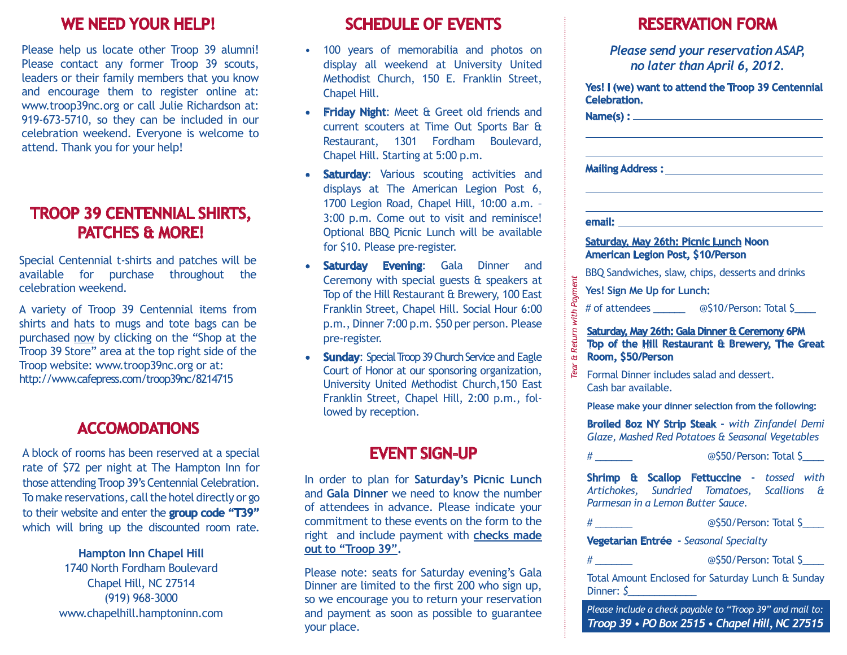#### **We need your help!**

Please help us locate other Troop 39 alumni! Please contact any former Troop 39 scouts, leaders or their family members that you know and encourage them to register online at: www.troop39nc.org or call Julie Richardson at: 919-673-5710, so they can be included in our celebration weekend. Everyone is welcome to attend. Thank you for your help!

## **troop 39 centennial shirts, patches & More!**

Special Centennial t-shirts and patches will be available for purchase throughout the celebration weekend.

A variety of Troop 39 Centennial items from shirts and hats to mugs and tote bags can be purchased now by clicking on the "Shop at the Troop 39 Store" area at the top right side of the Troop website: www.troop39nc.org or at: http://www.cafepress.com/troop39nc/8214715

### **Accomodations**

A block of rooms has been reserved at a special rate of \$72 per night at The Hampton Inn for those attending Troop 39's Centennial Celebration. To make reservations, call the hotel directly or go to their website and enter the **group code "T39"** which will bring up the discounted room rate.

> **Hampton Inn Chapel Hill** 1740 North Fordham Boulevard Chapel Hill, NC 27514 (919) 968‐3000 www.chapelhill.hamptoninn.com

### **schedule of events**

- 100 years of memorabilia and photos on display all weekend at University United Methodist Church, 150 E. Franklin Street, Chapel Hill.
- **• Friday Night**: Meet & Greet old friends and current scouters at Time Out Sports Bar & Restaurant, 1301 Fordham Boulevard, Chapel Hill. Starting at 5:00 p.m.
- **• Saturday**: Various scouting activities and displays at The American Legion Post 6, 1700 Legion Road, Chapel Hill, 10:00 a.m. – 3:00 p.m. Come out to visit and reminisce! Optional BBQ Picnic Lunch will be available for \$10. Please pre‐register.
- **Saturday Evening:** Gala Dinner and Ceremony with special guests & speakers at Top of the Hill Restaurant & Brewery, 100 East Franklin Street, Chapel Hill. Social Hour 6:00 p.m., Dinner 7:00 p.m. \$50 per person. Please pre‐register.
- **• Sunday**: Special Troop 39 Church Service and Eagle Court of Honor at our sponsoring organization, University United Methodist Church,150 East Franklin Street, Chapel Hill, 2:00 p.m., fol‐ lowed by reception.

#### **Event sign-UP**

In order to plan for **Saturday's Picnic Lunch** and **Gala Dinner** we need to know the number of attendees in advance. Please indicate your commitment to these events on the form to the right and include payment with **checks made out to "Troop 39".** 

Please note: seats for Saturday evening's Gala Dinner are limited to the first 200 who sign up, so we encourage you to return your reservation and payment as soon as possible to guarantee your place.

|                            | Please send your reservation ASAP,<br>no later than April 6, 2012.                                                                                                                                                                  |
|----------------------------|-------------------------------------------------------------------------------------------------------------------------------------------------------------------------------------------------------------------------------------|
| Tear & Return with Payment | Yes! I (we) want to attend the Troop 39 Centennial<br>Celebration.                                                                                                                                                                  |
|                            | Name(s) : _______                                                                                                                                                                                                                   |
|                            |                                                                                                                                                                                                                                     |
|                            | <b>Mailing Address:</b> The Contract of the Contract of the Contract of the Contract of the Contract of the Contract of the Contract of the Contract of the Contract of the Contract of the Contract of the Contract of the Contrac |
|                            |                                                                                                                                                                                                                                     |
|                            | email: The control                                                                                                                                                                                                                  |
|                            | <b>Saturday, May 26th: Picnic Lunch Noon</b><br>American Legion Post, \$10/Person                                                                                                                                                   |
|                            | BBQ Sandwiches, slaw, chips, desserts and drinks                                                                                                                                                                                    |
|                            | Yes! Sign Me Up for Lunch:                                                                                                                                                                                                          |
|                            | # of attendees ________ @\$10/Person: Total \$                                                                                                                                                                                      |
|                            | Saturday, May 26th: Gala Dinner & Ceremony 6PM<br>Top of the Hill Restaurant & Brewery, The Great<br>Room, \$50/Person                                                                                                              |
|                            | Formal Dinner includes salad and dessert.<br>Cash bar available.                                                                                                                                                                    |
|                            | Please make your dinner selection from the following:                                                                                                                                                                               |
|                            | <b>Broiled 8oz NY Strip Steak - with Zinfandel Demi</b><br>Glaze, Mashed Red Potatoes & Seasonal Vegetables                                                                                                                         |
|                            | $\#$<br>@\$50/Person: Total \$                                                                                                                                                                                                      |
|                            | Shrimp & Scallop Fettuccine - tossed with<br>Artichokes, Sundried Tomatoes, Scallions &<br>Parmesan in a Lemon Butter Sauce.                                                                                                        |
|                            | @\$50/Person: Total \$<br>$\#$ and the set of $\#$                                                                                                                                                                                  |
|                            | Vegetarian Entrée - Seasonal Specialty                                                                                                                                                                                              |
|                            | @\$50/Person: Total \$                                                                                                                                                                                                              |
|                            | Total Amount Enclosed for Saturday Lunch & Sunday<br>Dinner: $\zeta$                                                                                                                                                                |

*Please include a check payable to "Troop 39" and mail to: Troop 39 • PO Box 2515 • Chapel Hill, NC 27515*

#### **reservation form**